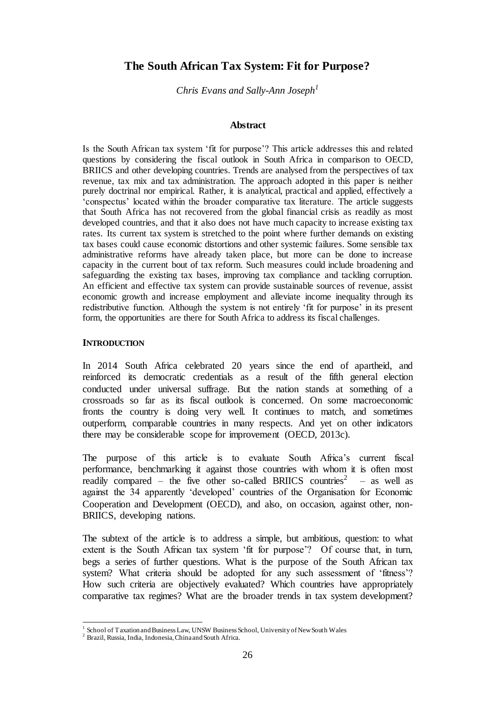# **The South African Tax System: Fit for Purpose?**

*Chris Evans and Sally-Ann Joseph<sup>1</sup>*

#### **Abstract**

Is the South African tax system 'fit for purpose'? This article addresses this and related questions by considering the fiscal outlook in South Africa in comparison to OECD, BRIICS and other developing countries. Trends are analysed from the perspectives of tax revenue, tax mix and tax administration. The approach adopted in this paper is neither purely doctrinal nor empirical. Rather, it is analytical, practical and applied, effectively a 'conspectus' located within the broader comparative tax literature. The article suggests that South Africa has not recovered from the global financial crisis as readily as most developed countries, and that it also does not have much capacity to increase existing tax rates. Its current tax system is stretched to the point where further demands on existing tax bases could cause economic distortions and other systemic failures. Some sensible tax administrative reforms have already taken place, but more can be done to increase capacity in the current bout of tax reform. Such measures could include broadening and safeguarding the existing tax bases, improving tax compliance and tackling corruption. An efficient and effective tax system can provide sustainable sources of revenue, assist economic growth and increase employment and alleviate income inequality through its redistributive function. Although the system is not entirely 'fit for purpose' in its present form, the opportunities are there for South Africa to address its fiscal challenges.

#### **INTRODUCTION**

In 2014 South Africa celebrated 20 years since the end of apartheid, and reinforced its democratic credentials as a result of the fifth general election conducted under universal suffrage. But the nation stands at something of a crossroads so far as its fiscal outlook is concerned. On some macroeconomic fronts the country is doing very well. It continues to match, and sometimes outperform, comparable countries in many respects. And yet on other indicators there may be considerable scope for improvement (OECD, 2013c).

The purpose of this article is to evaluate South Africa's current fiscal performance, benchmarking it against those countries with whom it is often most readily compared – the five other so-called BRIICS countries<sup>2</sup> – as well as against the 34 apparently 'developed' countries of the Organisation for Economic Cooperation and Development (OECD), and also, on occasion, against other, non-BRIICS, developing nations.

The subtext of the article is to address a simple, but ambitious, question: to what extent is the South African tax system 'fit for purpose'? Of course that, in turn, begs a series of further questions. What is the purpose of the South African tax system? What criteria should be adopted for any such assessment of 'fitness'? How such criteria are objectively evaluated? Which countries have appropriately comparative tax regimes? What are the broader trends in tax system development?

 1 School of Taxation and Business Law, UNSW Business School, University of New South Wales

<sup>2</sup> Brazil, Russia, India, Indonesia, China and South Africa.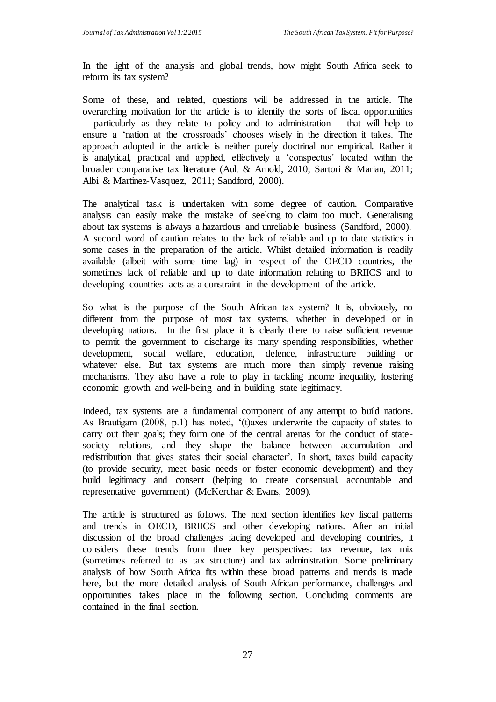In the light of the analysis and global trends, how might South Africa seek to reform its tax system?

Some of these, and related, questions will be addressed in the article. The overarching motivation for the article is to identify the sorts of fiscal opportunities – particularly as they relate to policy and to administration – that will help to ensure a 'nation at the crossroads' chooses wisely in the direction it takes. The approach adopted in the article is neither purely doctrinal nor empirical. Rather it is analytical, practical and applied, effectively a 'conspectus' located within the broader comparative tax literature (Ault & Arnold, 2010; Sartori & Marian, 2011; Albi & Martinez-Vasquez, 2011; Sandford, 2000).

The analytical task is undertaken with some degree of caution. Comparative analysis can easily make the mistake of seeking to claim too much. Generalising about tax systems is always a hazardous and unreliable business (Sandford, 2000). A second word of caution relates to the lack of reliable and up to date statistics in some cases in the preparation of the article. Whilst detailed information is readily available (albeit with some time lag) in respect of the OECD countries, the sometimes lack of reliable and up to date information relating to BRIICS and to developing countries acts as a constraint in the development of the article.

So what is the purpose of the South African tax system? It is, obviously, no different from the purpose of most tax systems, whether in developed or in developing nations. In the first place it is clearly there to raise sufficient revenue to permit the government to discharge its many spending responsibilities, whether development, social welfare, education, defence, infrastructure building or whatever else. But tax systems are much more than simply revenue raising mechanisms. They also have a role to play in tackling income inequality, fostering economic growth and well-being and in building state legitimacy.

Indeed, tax systems are a fundamental component of any attempt to build nations. As Brautigam (2008, p.1) has noted, '(t)axes underwrite the capacity of states to carry out their goals; they form one of the central arenas for the conduct of statesociety relations, and they shape the balance between accumulation and redistribution that gives states their social character'. In short, taxes build capacity (to provide security, meet basic needs or foster economic development) and they build legitimacy and consent (helping to create consensual, accountable and representative government) (McKerchar & Evans, 2009).

The article is structured as follows. The next section identifies key fiscal patterns and trends in OECD, BRIICS and other developing nations. After an initial discussion of the broad challenges facing developed and developing countries, it considers these trends from three key perspectives: tax revenue, tax mix (sometimes referred to as tax structure) and tax administration. Some preliminary analysis of how South Africa fits within these broad patterns and trends is made here, but the more detailed analysis of South African performance, challenges and opportunities takes place in the following section. Concluding comments are contained in the final section.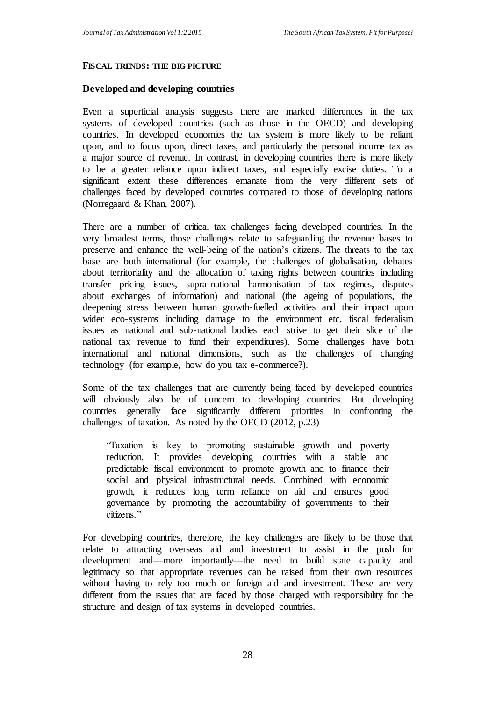#### **FISCAL TRENDS: THE BIG PICTURE**

#### **Developed and developing countries**

Even a superficial analysis suggests there are marked differences in the tax systems of developed countries (such as those in the OECD) and developing countries. In developed economies the tax system is more likely to be reliant upon, and to focus upon, direct taxes, and particularly the personal income tax as a major source of revenue. In contrast, in developing countries there is more likely to be a greater reliance upon indirect taxes, and especially excise duties. To a significant extent these differences emanate from the very different sets of challenges faced by developed countries compared to those of developing nations (Norregaard & Khan, 2007).

There are a number of critical tax challenges facing developed countries. In the very broadest terms, those challenges relate to safeguarding the revenue bases to preserve and enhance the well-being of the nation's citizens. The threats to the tax base are both international (for example, the challenges of globalisation, debates about territoriality and the allocation of taxing rights between countries including transfer pricing issues, supra-national harmonisation of tax regimes, disputes about exchanges of information) and national (the ageing of populations, the deepening stress between human growth-fuelled activities and their impact upon wider eco-systems including damage to the environment etc, fiscal federalism issues as national and sub-national bodies each strive to get their slice of the national tax revenue to fund their expenditures). Some challenges have both international and national dimensions, such as the challenges of changing technology (for example, how do you tax e-commerce?).

Some of the tax challenges that are currently being faced by developed countries will obviously also be of concern to developing countries. But developing countries generally face significantly different priorities in confronting the challenges of taxation. As noted by the OECD (2012, p.23)

"Taxation is key to promoting sustainable growth and poverty reduction. It provides developing countries with a stable and predictable fiscal environment to promote growth and to finance their social and physical infrastructural needs. Combined with economic growth, it reduces long term reliance on aid and ensures good governance by promoting the accountability of governments to their citizens."

For developing countries, therefore, the key challenges are likely to be those that relate to attracting overseas aid and investment to assist in the push for development and—more importantly—the need to build state capacity and legitimacy so that appropriate revenues can be raised from their own resources without having to rely too much on foreign aid and investment. These are very different from the issues that are faced by those charged with responsibility for the structure and design of tax systems in developed countries.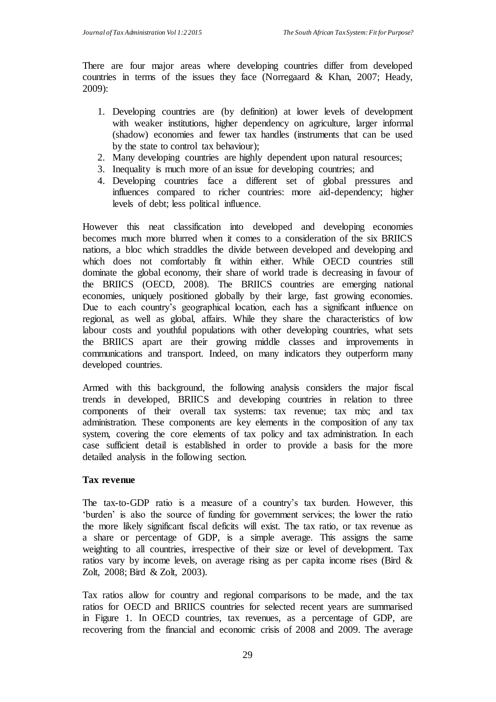There are four major areas where developing countries differ from developed countries in terms of the issues they face (Norregaard & Khan, 2007; Heady, 2009):

- 1. Developing countries are (by definition) at lower levels of development with weaker institutions, higher dependency on agriculture, larger informal (shadow) economies and fewer tax handles (instruments that can be used by the state to control tax behaviour);
- 2. Many developing countries are highly dependent upon natural resources;
- 3. Inequality is much more of an issue for developing countries; and
- 4. Developing countries face a different set of global pressures and influences compared to richer countries: more aid-dependency; higher levels of debt; less political influence.

However this neat classification into developed and developing economies becomes much more blurred when it comes to a consideration of the six BRIICS nations, a bloc which straddles the divide between developed and developing and which does not comfortably fit within either. While OECD countries still dominate the global economy, their share of world trade is decreasing in favour of the BRIICS (OECD, 2008). The BRIICS countries are emerging national economies, uniquely positioned globally by their large, fast growing economies. Due to each country's geographical location, each has a significant influence on regional, as well as global, affairs. While they share the characteristics of low labour costs and youthful populations with other developing countries, what sets the BRIICS apart are their growing middle classes and improvements in communications and transport. Indeed, on many indicators they outperform many developed countries.

Armed with this background, the following analysis considers the major fiscal trends in developed, BRIICS and developing countries in relation to three components of their overall tax systems: tax revenue; tax mix; and tax administration. These components are key elements in the composition of any tax system, covering the core elements of tax policy and tax administration. In each case sufficient detail is established in order to provide a basis for the more detailed analysis in the following section.

### **Tax revenue**

The tax-to-GDP ratio is a measure of a country's tax burden. However, this 'burden' is also the source of funding for government services; the lower the ratio the more likely significant fiscal deficits will exist. The tax ratio, or tax revenue as a share or percentage of GDP, is a simple average. This assigns the same weighting to all countries, irrespective of their size or level of development. Tax ratios vary by income levels, on average rising as per capita income rises (Bird & Zolt, 2008; Bird & Zolt, 2003).

Tax ratios allow for country and regional comparisons to be made, and the tax ratios for OECD and BRIICS countries for selected recent years are summarised in Figure 1. In OECD countries, tax revenues, as a percentage of GDP, are recovering from the financial and economic crisis of 2008 and 2009. The average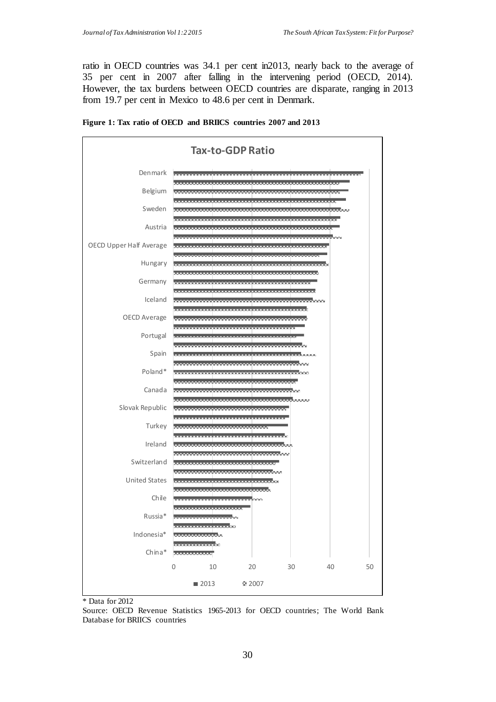ratio in OECD countries was 34.1 per cent in2013, nearly back to the average of 35 per cent in 2007 after falling in the intervening period (OECD, 2014). However, the tax burdens between OECD countries are disparate, ranging in 2013 from 19.7 per cent in Mexico to 48.6 per cent in Denmark.





Data for 2012

Source: OECD Revenue Statistics 1965-2013 for OECD countries; The World Bank Database for BRIICS countries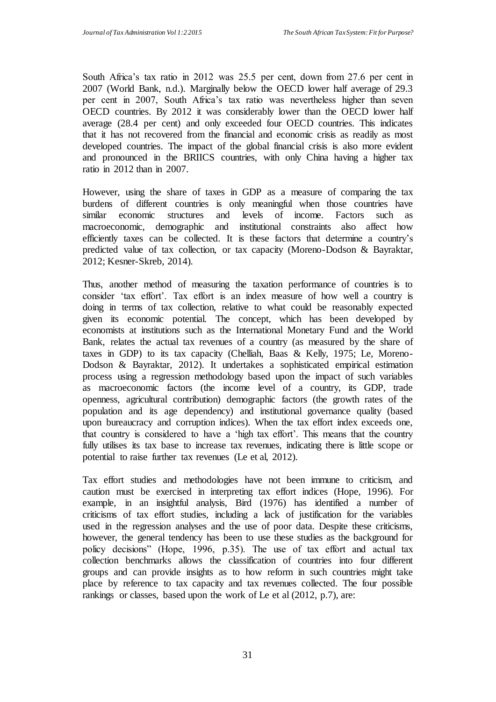South Africa's tax ratio in 2012 was 25.5 per cent, down from 27.6 per cent in 2007 (World Bank, n.d.). Marginally below the OECD lower half average of 29.3 per cent in 2007, South Africa's tax ratio was nevertheless higher than seven OECD countries. By 2012 it was considerably lower than the OECD lower half average (28.4 per cent) and only exceeded four OECD countries. This indicates that it has not recovered from the financial and economic crisis as readily as most developed countries. The impact of the global financial crisis is also more evident and pronounced in the BRIICS countries, with only China having a higher tax ratio in 2012 than in 2007.

However, using the share of taxes in GDP as a measure of comparing the tax burdens of different countries is only meaningful when those countries have similar economic structures and levels of income. Factors such as macroeconomic, demographic and institutional constraints also affect how efficiently taxes can be collected. It is these factors that determine a country's predicted value of tax collection, or tax capacity (Moreno-Dodson & Bayraktar, 2012; Kesner-Skreb, 2014).

Thus, another method of measuring the taxation performance of countries is to consider 'tax effort'. Tax effort is an index measure of how well a country is doing in terms of tax collection, relative to what could be reasonably expected given its economic potential. The concept, which has been developed by economists at institutions such as the International Monetary Fund and the World Bank, relates the actual tax revenues of a country (as measured by the share of taxes in GDP) to its tax capacity (Chelliah, Baas & Kelly, 1975; Le, Moreno-Dodson & Bayraktar, 2012). It undertakes a sophisticated empirical estimation process using a regression methodology based upon the impact of such variables as macroeconomic factors (the income level of a country, its GDP, trade openness, agricultural contribution) demographic factors (the growth rates of the population and its age dependency) and institutional governance quality (based upon bureaucracy and corruption indices). When the tax effort index exceeds one, that country is considered to have a 'high tax effort'. This means that the country fully utilises its tax base to increase tax revenues, indicating there is little scope or potential to raise further tax revenues (Le et al, 2012).

Tax effort studies and methodologies have not been immune to criticism, and caution must be exercised in interpreting tax effort indices (Hope, 1996). For example, in an insightful analysis, Bird (1976) has identified a number of criticisms of tax effort studies, including a lack of justification for the variables used in the regression analyses and the use of poor data. Despite these criticisms, however, the general tendency has been to use these studies as the background for policy decisions" (Hope, 1996, p.35). The use of tax effort and actual tax collection benchmarks allows the classification of countries into four different groups and can provide insights as to how reform in such countries might take place by reference to tax capacity and tax revenues collected. The four possible rankings or classes, based upon the work of Le et al (2012, p.7), are: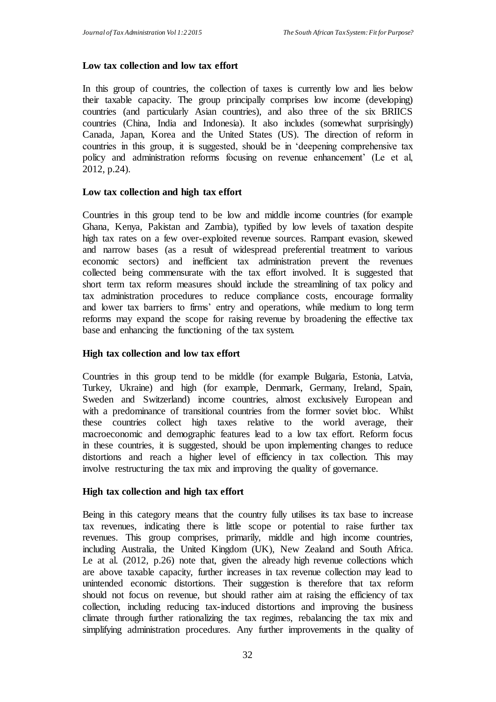## **Low tax collection and low tax effort**

In this group of countries, the collection of taxes is currently low and lies below their taxable capacity. The group principally comprises low income (developing) countries (and particularly Asian countries), and also three of the six BRIICS countries (China, India and Indonesia). It also includes (somewhat surprisingly) Canada, Japan, Korea and the United States (US). The direction of reform in countries in this group, it is suggested, should be in 'deepening comprehensive tax policy and administration reforms focusing on revenue enhancement' (Le et al, 2012, p.24).

### **Low tax collection and high tax effort**

Countries in this group tend to be low and middle income countries (for example Ghana, Kenya, Pakistan and Zambia), typified by low levels of taxation despite high tax rates on a few over-exploited revenue sources. Rampant evasion, skewed and narrow bases (as a result of widespread preferential treatment to various economic sectors) and inefficient tax administration prevent the revenues collected being commensurate with the tax effort involved. It is suggested that short term tax reform measures should include the streamlining of tax policy and tax administration procedures to reduce compliance costs, encourage formality and lower tax barriers to firms' entry and operations, while medium to long term reforms may expand the scope for raising revenue by broadening the effective tax base and enhancing the functioning of the tax system.

### **High tax collection and low tax effort**

Countries in this group tend to be middle (for example Bulgaria, Estonia, Latvia, Turkey, Ukraine) and high (for example, Denmark, Germany, Ireland, Spain, Sweden and Switzerland) income countries, almost exclusively European and with a predominance of transitional countries from the former soviet bloc. Whilst these countries collect high taxes relative to the world average, their macroeconomic and demographic features lead to a low tax effort. Reform focus in these countries, it is suggested, should be upon implementing changes to reduce distortions and reach a higher level of efficiency in tax collection. This may involve restructuring the tax mix and improving the quality of governance.

### **High tax collection and high tax effort**

Being in this category means that the country fully utilises its tax base to increase tax revenues, indicating there is little scope or potential to raise further tax revenues. This group comprises, primarily, middle and high income countries, including Australia, the United Kingdom (UK), New Zealand and South Africa. Le at al. (2012, p.26) note that, given the already high revenue collections which are above taxable capacity, further increases in tax revenue collection may lead to unintended economic distortions. Their suggestion is therefore that tax reform should not focus on revenue, but should rather aim at raising the efficiency of tax collection, including reducing tax-induced distortions and improving the business climate through further rationalizing the tax regimes, rebalancing the tax mix and simplifying administration procedures. Any further improvements in the quality of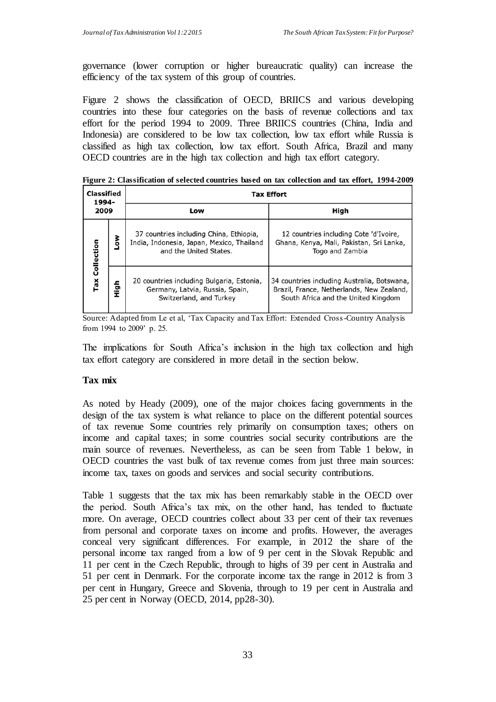governance (lower corruption or higher bureaucratic quality) can increase the efficiency of the tax system of this group of countries.

Figure 2 shows the classification of OECD, BRIICS and various developing countries into these four categories on the basis of revenue collections and tax effort for the period 1994 to 2009. Three BRIICS countries (China, India and Indonesia) are considered to be low tax collection, low tax effort while Russia is classified as high tax collection, low tax effort. South Africa, Brazil and many OECD countries are in the high tax collection and high tax effort category.

**Figure 2: Classification of selected countries based on tax collection and tax effort, 1994-2009**

| Classified<br>1994-<br>2009 |      | <b>Tax Effort</b>                                                                                              |                                                                                                                                 |  |  |  |  |
|-----------------------------|------|----------------------------------------------------------------------------------------------------------------|---------------------------------------------------------------------------------------------------------------------------------|--|--|--|--|
|                             |      | Low                                                                                                            | High                                                                                                                            |  |  |  |  |
| Collection<br>Tax           | š    | 37 countries including China, Ethiopia,<br>India, Indonesia, Japan, Mexico, Thailand<br>and the United States. | 12 countries including Cote 'd'Ivoire,<br>Ghana, Kenya, Mali, Pakistan, Sri Lanka,<br>Togo and Zambia                           |  |  |  |  |
|                             | tigh | 20 countries including Bulgaria, Estonia,<br>Germany, Latvia, Russia, Spain,<br>Switzerland, and Turkey        | 34 countries including Australia, Botswana,<br>Brazil, France, Netherlands, New Zealand,<br>South Africa and the United Kingdom |  |  |  |  |

Source: Adapted from Le et al, 'Tax Capacity and Tax Effort: Extended Cross-Country Analysis from 1994 to 2009' p. 25.

The implications for South Africa's inclusion in the high tax collection and high tax effort category are considered in more detail in the section below.

### **Tax mix**

As noted by Heady (2009), one of the major choices facing governments in the design of the tax system is what reliance to place on the different potential sources of tax revenue Some countries rely primarily on consumption taxes; others on income and capital taxes; in some countries social security contributions are the main source of revenues. Nevertheless, as can be seen from Table 1 below, in OECD countries the vast bulk of tax revenue comes from just three main sources: income tax, taxes on goods and services and social security contributions.

Table 1 suggests that the tax mix has been remarkably stable in the OECD over the period. South Africa's tax mix, on the other hand, has tended to fluctuate more. On average, OECD countries collect about 33 per cent of their tax revenues from personal and corporate taxes on income and profits. However, the averages conceal very significant differences. For example, in 2012 the share of the personal income tax ranged from a low of 9 per cent in the Slovak Republic and 11 per cent in the Czech Republic, through to highs of 39 per cent in Australia and 51 per cent in Denmark. For the corporate income tax the range in 2012 is from 3 per cent in Hungary, Greece and Slovenia, through to 19 per cent in Australia and 25 per cent in Norway (OECD, 2014, pp28-30).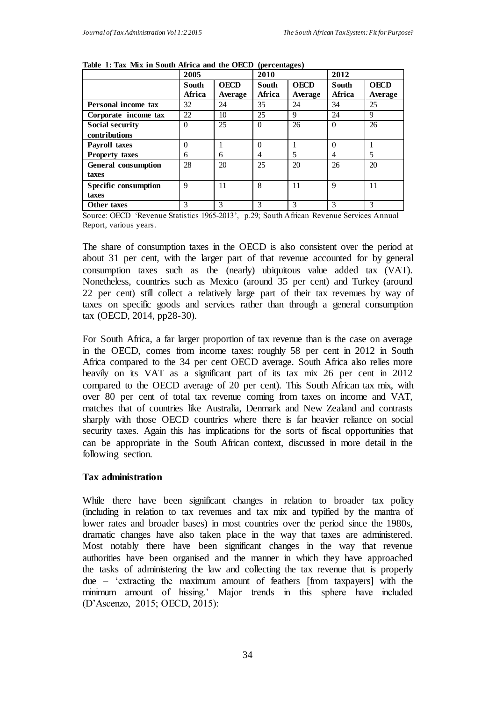|                            | 2005         |             | 2010         |             | 2012          |             |
|----------------------------|--------------|-------------|--------------|-------------|---------------|-------------|
|                            | <b>South</b> | <b>OECD</b> | <b>South</b> | <b>OECD</b> | <b>South</b>  | <b>OECD</b> |
|                            | Africa       | Average     | Africa       | Average     | Africa        | Average     |
| Personal income tax        | 32           | 24          | 35           | 24          | 34            | 25          |
| Corporate income tax       | 22           | 10          | 25           | 9           | 24            | 9           |
| <b>Social security</b>     | $\Omega$     | 25          | $\theta$     | 26          | $\Omega$      | 26          |
| contributions              |              |             |              |             |               |             |
| <b>Payroll taxes</b>       | $\Omega$     |             | $\Omega$     |             | $\Omega$      |             |
| <b>Property taxes</b>      | 6            | 6           | 4            | 5           | 4             | 5           |
| <b>General consumption</b> | 28           | 20          | 25           | 20          | 26            | 20          |
| taxes                      |              |             |              |             |               |             |
| Specific consumption       | $\mathbf Q$  | 11          | 8            | 11          | 9             | 11          |
| taxes                      |              |             |              |             |               |             |
| Other taxes                | 3            | 3           | 3            | 3           | $\mathcal{R}$ | 3           |

Source: OECD 'Revenue Statistics 1965-2013', p.29; South African Revenue Services Annual Report, various years.

The share of consumption taxes in the OECD is also consistent over the period at about 31 per cent, with the larger part of that revenue accounted for by general consumption taxes such as the (nearly) ubiquitous value added tax (VAT). Nonetheless, countries such as Mexico (around 35 per cent) and Turkey (around 22 per cent) still collect a relatively large part of their tax revenues by way of taxes on specific goods and services rather than through a general consumption tax (OECD, 2014, pp28-30).

For South Africa, a far larger proportion of tax revenue than is the case on average in the OECD, comes from income taxes: roughly 58 per cent in 2012 in South Africa compared to the 34 per cent OECD average. South Africa also relies more heavily on its VAT as a significant part of its tax mix 26 per cent in 2012 compared to the OECD average of 20 per cent). This South African tax mix, with over 80 per cent of total tax revenue coming from taxes on income and VAT, matches that of countries like Australia, Denmark and New Zealand and contrasts sharply with those OECD countries where there is far heavier reliance on social security taxes. Again this has implications for the sorts of fiscal opportunities that can be appropriate in the South African context, discussed in more detail in the following section.

#### **Tax administration**

While there have been significant changes in relation to broader tax policy (including in relation to tax revenues and tax mix and typified by the mantra of lower rates and broader bases) in most countries over the period since the 1980s, dramatic changes have also taken place in the way that taxes are administered. Most notably there have been significant changes in the way that revenue authorities have been organised and the manner in which they have approached the tasks of administering the law and collecting the tax revenue that is properly due – 'extracting the maximum amount of feathers [from taxpayers] with the minimum amount of hissing.' Major trends in this sphere have included (D'Ascenzo, 2015; OECD, 2015):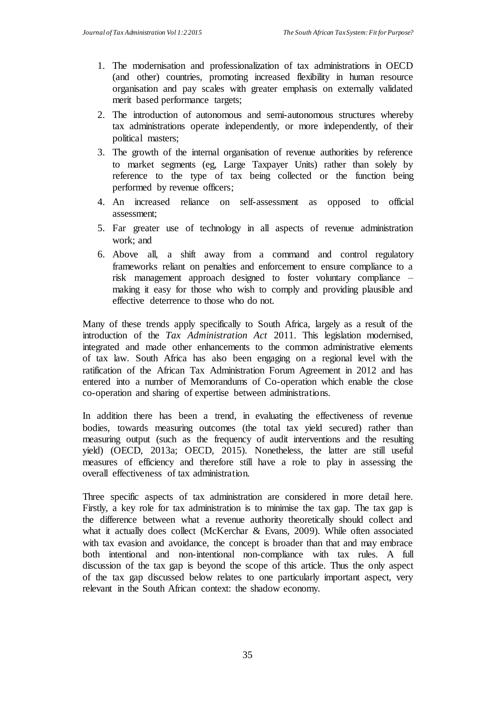- 1. The modernisation and professionalization of tax administrations in OECD (and other) countries, promoting increased flexibility in human resource organisation and pay scales with greater emphasis on externally validated merit based performance targets;
- 2. The introduction of autonomous and semi-autonomous structures whereby tax administrations operate independently, or more independently, of their political masters;
- 3. The growth of the internal organisation of revenue authorities by reference to market segments (eg, Large Taxpayer Units) rather than solely by reference to the type of tax being collected or the function being performed by revenue officers;
- 4. An increased reliance on self-assessment as opposed to official assessment;
- 5. Far greater use of technology in all aspects of revenue administration work; and
- 6. Above all, a shift away from a command and control regulatory frameworks reliant on penalties and enforcement to ensure compliance to a risk management approach designed to foster voluntary compliance – making it easy for those who wish to comply and providing plausible and effective deterrence to those who do not.

Many of these trends apply specifically to South Africa, largely as a result of the introduction of the *Tax Administration Act* 2011. This legislation modernised, integrated and made other enhancements to the common administrative elements of tax law. South Africa has also been engaging on a regional level with the ratification of the African Tax Administration Forum Agreement in 2012 and has entered into a number of Memorandums of Co-operation which enable the close co-operation and sharing of expertise between administrations.

In addition there has been a trend, in evaluating the effectiveness of revenue bodies, towards measuring outcomes (the total tax yield secured) rather than measuring output (such as the frequency of audit interventions and the resulting yield) (OECD, 2013a; OECD, 2015). Nonetheless, the latter are still useful measures of efficiency and therefore still have a role to play in assessing the overall effectiveness of tax administration.

Three specific aspects of tax administration are considered in more detail here. Firstly, a key role for tax administration is to minimise the tax gap. The tax gap is the difference between what a revenue authority theoretically should collect and what it actually does collect (McKerchar & Evans, 2009). While often associated with tax evasion and avoidance, the concept is broader than that and may embrace both intentional and non-intentional non-compliance with tax rules. A full discussion of the tax gap is beyond the scope of this article. Thus the only aspect of the tax gap discussed below relates to one particularly important aspect, very relevant in the South African context: the shadow economy.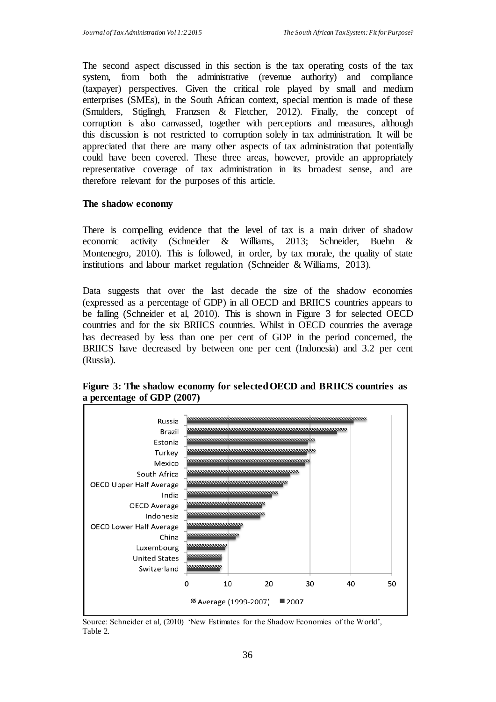The second aspect discussed in this section is the tax operating costs of the tax system, from both the administrative (revenue authority) and compliance (taxpayer) perspectives. Given the critical role played by small and medium enterprises (SMEs), in the South African context, special mention is made of these (Smulders, Stiglingh, Franzsen & Fletcher, 2012). Finally, the concept of corruption is also canvassed, together with perceptions and measures, although this discussion is not restricted to corruption solely in tax administration. It will be appreciated that there are many other aspects of tax administration that potentially could have been covered. These three areas, however, provide an appropriately representative coverage of tax administration in its broadest sense, and are therefore relevant for the purposes of this article.

### **The shadow economy**

There is compelling evidence that the level of tax is a main driver of shadow economic activity (Schneider & Williams, 2013; Schneider, Buehn & Montenegro, 2010). This is followed, in order, by tax morale, the quality of state institutions and labour market regulation (Schneider & Williams, 2013).

Data suggests that over the last decade the size of the shadow economies (expressed as a percentage of GDP) in all OECD and BRIICS countries appears to be falling (Schneider et al, 2010). This is shown in Figure 3 for selected OECD countries and for the six BRIICS countries. Whilst in OECD countries the average has decreased by less than one per cent of GDP in the period concerned, the BRIICS have decreased by between one per cent (Indonesia) and 3.2 per cent (Russia).



**Figure 3: The shadow economy for selected OECD and BRIICS countries as a percentage of GDP (2007)**

Source: Schneider et al, (2010) 'New Estimates for the Shadow Economies of the World', Table 2.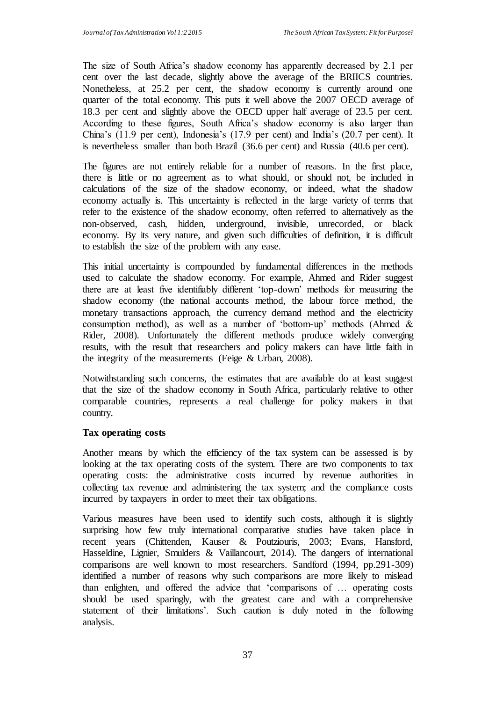The size of South Africa's shadow economy has apparently decreased by 2.1 per cent over the last decade, slightly above the average of the BRIICS countries. Nonetheless, at 25.2 per cent, the shadow economy is currently around one quarter of the total economy. This puts it well above the 2007 OECD average of 18.3 per cent and slightly above the OECD upper half average of 23.5 per cent. According to these figures, South Africa's shadow economy is also larger than China's (11.9 per cent), Indonesia's (17.9 per cent) and India's (20.7 per cent). It is nevertheless smaller than both Brazil (36.6 per cent) and Russia (40.6 per cent).

The figures are not entirely reliable for a number of reasons. In the first place, there is little or no agreement as to what should, or should not, be included in calculations of the size of the shadow economy, or indeed, what the shadow economy actually is. This uncertainty is reflected in the large variety of terms that refer to the existence of the shadow economy, often referred to alternatively as the non-observed, cash, hidden, underground, invisible, unrecorded, or black economy. By its very nature, and given such difficulties of definition, it is difficult to establish the size of the problem with any ease.

This initial uncertainty is compounded by fundamental differences in the methods used to calculate the shadow economy. For example, Ahmed and Rider suggest there are at least five identifiably different 'top-down' methods for measuring the shadow economy (the national accounts method, the labour force method, the monetary transactions approach, the currency demand method and the electricity consumption method), as well as a number of 'bottom-up' methods (Ahmed & Rider, 2008). Unfortunately the different methods produce widely converging results, with the result that researchers and policy makers can have little faith in the integrity of the measurements (Feige & Urban, 2008).

Notwithstanding such concerns, the estimates that are available do at least suggest that the size of the shadow economy in South Africa, particularly relative to other comparable countries, represents a real challenge for policy makers in that country.

### **Tax operating costs**

Another means by which the efficiency of the tax system can be assessed is by looking at the tax operating costs of the system. There are two components to tax operating costs: the administrative costs incurred by revenue authorities in collecting tax revenue and administering the tax system; and the compliance costs incurred by taxpayers in order to meet their tax obligations.

Various measures have been used to identify such costs, although it is slightly surprising how few truly international comparative studies have taken place in recent years (Chittenden, Kauser & Poutziouris, 2003; Evans, Hansford, Hasseldine, Lignier, Smulders & Vaillancourt, 2014). The dangers of international comparisons are well known to most researchers. Sandford (1994, pp.291-309) identified a number of reasons why such comparisons are more likely to mislead than enlighten, and offered the advice that 'comparisons of … operating costs should be used sparingly, with the greatest care and with a comprehensive statement of their limitations'. Such caution is duly noted in the following analysis.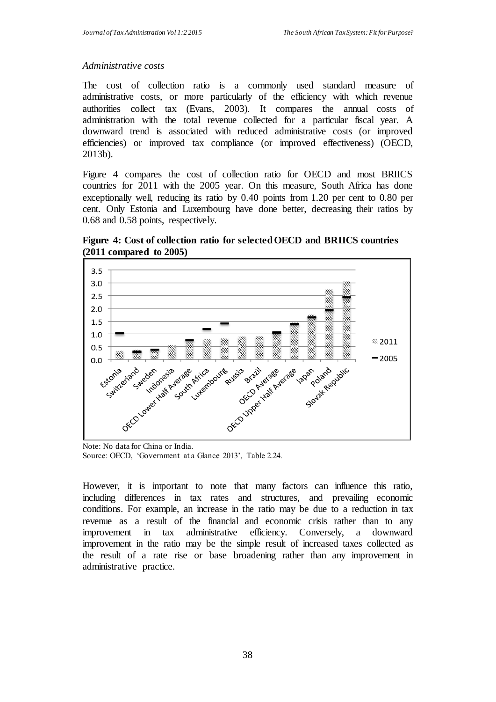### *Administrative costs*

The cost of collection ratio is a commonly used standard measure of administrative costs, or more particularly of the efficiency with which revenue authorities collect tax (Evans, 2003). It compares the annual costs of administration with the total revenue collected for a particular fiscal year. A downward trend is associated with reduced administrative costs (or improved efficiencies) or improved tax compliance (or improved effectiveness) (OECD, 2013b).

Figure 4 compares the cost of collection ratio for OECD and most BRIICS countries for 2011 with the 2005 year. On this measure, South Africa has done exceptionally well, reducing its ratio by 0.40 points from 1.20 per cent to 0.80 per cent. Only Estonia and Luxembourg have done better, decreasing their ratios by 0.68 and 0.58 points, respectively.



**Figure 4: Cost of collection ratio for selected OECD and BRIICS countries (2011 compared to 2005)**

Note: No data for China or India. Source: OECD, 'Government at a Glance 2013', Table 2.24.

However, it is important to note that many factors can influence this ratio, including differences in tax rates and structures, and prevailing economic conditions. For example, an increase in the ratio may be due to a reduction in tax revenue as a result of the financial and economic crisis rather than to any improvement in tax administrative efficiency. Conversely, a downward improvement in the ratio may be the simple result of increased taxes collected as the result of a rate rise or base broadening rather than any improvement in administrative practice.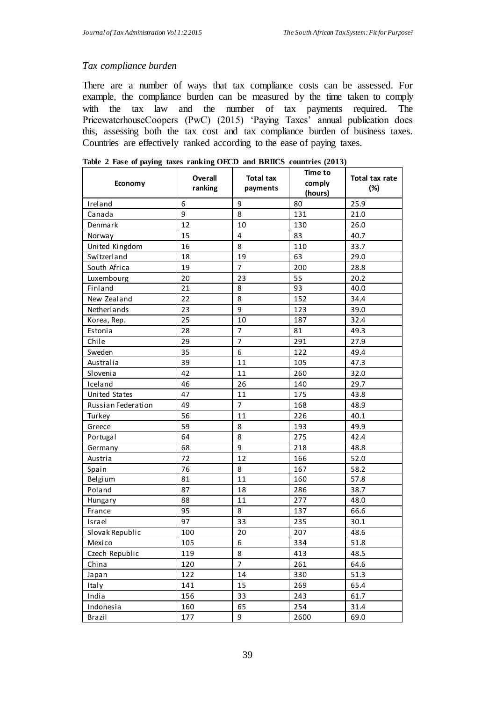### *Tax compliance burden*

There are a number of ways that tax compliance costs can be assessed. For example, the compliance burden can be measured by the time taken to comply with the tax law and the number of tax payments required. The PricewaterhouseCoopers (PwC) (2015) 'Paying Taxes' annual publication does this, assessing both the tax cost and tax compliance burden of business taxes. Countries are effectively ranked according to the ease of paying taxes.

|                      | Overall | <b>Total tax</b> | Time to | Total tax rate<br>(%) |  |
|----------------------|---------|------------------|---------|-----------------------|--|
| Economy              | ranking | payments         | comply  |                       |  |
|                      |         |                  | (hours) |                       |  |
| Ireland              | 6       | 9                | 80      | 25.9                  |  |
| Canada               | 9       | 8                | 131     | 21.0                  |  |
| Denmark              | 12      | 10               | 130     | 26.0                  |  |
| Norway               | 15      | 4                | 83      | 40.7                  |  |
| United Kingdom       | 16      | 8                | 110     | 33.7                  |  |
| Switzerland          | 18      | 19               | 63      | 29.0                  |  |
| South Africa         | 19      | 7                | 200     | 28.8                  |  |
| Luxembourg           | 20      | 23               | 55      | 20.2                  |  |
| Finland              | 21      | 8                | 93      | 40.0                  |  |
| New Zealand          | 22      | 8                | 152     | 34.4                  |  |
| Netherlands          | 23      | 9                | 123     | 39.0                  |  |
| Korea, Rep.          | 25      | 10               | 187     | 32.4                  |  |
| Estonia              | 28      | $\overline{7}$   | 81      | 49.3                  |  |
| Chile                | 29      | 7                | 291     | 27.9                  |  |
| Sweden               | 35      | 6                | 122     | 49.4                  |  |
| Australia            | 39      | 11               | 105     | 47.3                  |  |
| Slovenia             | 42      | 11               | 260     | 32.0                  |  |
| Iceland              | 46      | 26               | 140     | 29.7                  |  |
| <b>United States</b> | 47      | 11               | 175     | 43.8                  |  |
| Russian Federation   | 49      | $\overline{7}$   | 168     | 48.9                  |  |
| Turkey               | 56      | 11               | 226     | 40.1                  |  |
| Greece               | 59      | 8                | 193     | 49.9                  |  |
| Portugal             | 64      | 8                | 275     | 42.4                  |  |
| Germany              | 68      | 9                | 218     | 48.8                  |  |
| Austria              | 72      | 12               | 166     | 52.0                  |  |
| Spain                | 76      | 8                | 167     | 58.2                  |  |
| Belgium              | 81      | 11               | 160     | 57.8                  |  |
| Poland               | 87      | 18               | 286     | 38.7                  |  |
| Hungary              | 88      | 11               | 277     | 48.0                  |  |
| France               | 95      | 8                | 137     | 66.6                  |  |
| Israel               | 97      | 33               | 235     | 30.1                  |  |
| Slovak Republic      | 100     | 20               | 207     | 48.6                  |  |
| Mexico               | 105     | 6                | 334     | 51.8                  |  |
| Czech Republic       | 119     | 8                | 413     | 48.5                  |  |
| China                | 120     | $\overline{7}$   | 261     | 64.6                  |  |
| Japan                | 122     | 14               | 330     | 51.3                  |  |
| Italy                | 141     | 15               | 269     | 65.4                  |  |
| India                | 156     | 33               | 243     | 61.7                  |  |
| Indonesia            | 160     | 65               | 254     | 31.4                  |  |
| Brazil               | 177     | 9                | 2600    | 69.0                  |  |

|  |  |  |  |  |  |  |  |  | Table 2 Ease of paying taxes ranking OECD and BRIICS countries (2013) |  |  |
|--|--|--|--|--|--|--|--|--|-----------------------------------------------------------------------|--|--|
|--|--|--|--|--|--|--|--|--|-----------------------------------------------------------------------|--|--|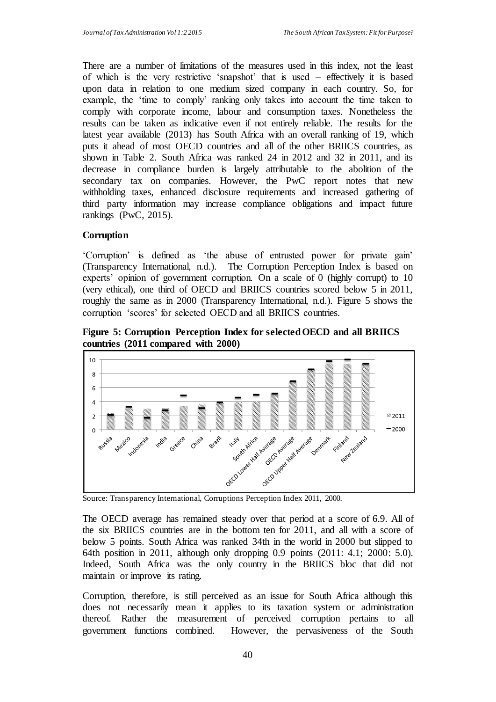There are a number of limitations of the measures used in this index, not the least of which is the very restrictive 'snapshot' that is used – effectively it is based upon data in relation to one medium sized company in each country. So, for example, the 'time to comply' ranking only takes into account the time taken to comply with corporate income, labour and consumption taxes. Nonetheless the results can be taken as indicative even if not entirely reliable. The results for the latest year available (2013) has South Africa with an overall ranking of 19, which puts it ahead of most OECD countries and all of the other BRIICS countries, as shown in Table 2. South Africa was ranked 24 in 2012 and 32 in 2011, and its decrease in compliance burden is largely attributable to the abolition of the secondary tax on companies. However, the PwC report notes that new withholding taxes, enhanced disclosure requirements and increased gathering of third party information may increase compliance obligations and impact future rankings (PwC, 2015).

## **Corruption**

'Corruption' is defined as 'the abuse of entrusted power for private gain' (Transparency International, n.d.). The Corruption Perception Index is based on experts' opinion of government corruption. On a scale of 0 (highly corrupt) to 10 (very ethical), one third of OECD and BRIICS countries scored below 5 in 2011, roughly the same as in 2000 (Transparency International, n.d.). Figure 5 shows the corruption 'scores' for selected OECD and all BRIICS countries.

**Figure 5: Corruption Perception Index for selected OECD and all BRIICS countries (2011 compared with 2000)**



Source: Transparency International, Corruptions Perception Index 2011, 2000.

The OECD average has remained steady over that period at a score of 6.9. All of the six BRIICS countries are in the bottom ten for 2011, and all with a score of below 5 points. South Africa was ranked 34th in the world in 2000 but slipped to 64th position in 2011, although only dropping 0.9 points (2011: 4.1; 2000: 5.0). Indeed, South Africa was the only country in the BRIICS bloc that did not maintain or improve its rating.

Corruption, therefore, is still perceived as an issue for South Africa although this does not necessarily mean it applies to its taxation system or administration thereof. Rather the measurement of perceived corruption pertains to all government functions combined. However, the pervasiveness of the South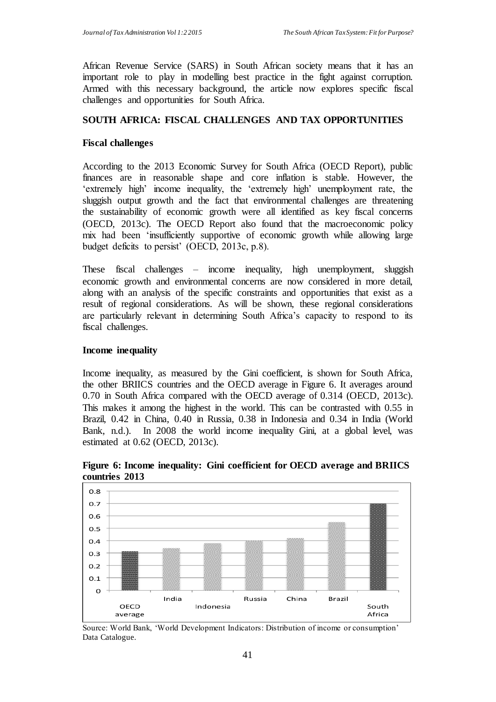African Revenue Service (SARS) in South African society means that it has an important role to play in modelling best practice in the fight against corruption. Armed with this necessary background, the article now explores specific fiscal challenges and opportunities for South Africa.

### **SOUTH AFRICA: FISCAL CHALLENGES AND TAX OPPORTUNITIES**

#### **Fiscal challenges**

According to the 2013 Economic Survey for South Africa (OECD Report), public finances are in reasonable shape and core inflation is stable. However, the 'extremely high' income inequality, the 'extremely high' unemployment rate, the sluggish output growth and the fact that environmental challenges are threatening the sustainability of economic growth were all identified as key fiscal concerns (OECD, 2013c). The OECD Report also found that the macroeconomic policy mix had been 'insufficiently supportive of economic growth while allowing large budget deficits to persist' (OECD, 2013c, p.8).

These fiscal challenges – income inequality, high unemployment, sluggish economic growth and environmental concerns are now considered in more detail, along with an analysis of the specific constraints and opportunities that exist as a result of regional considerations. As will be shown, these regional considerations are particularly relevant in determining South Africa's capacity to respond to its fiscal challenges.

#### **Income inequality**

Income inequality, as measured by the Gini coefficient, is shown for South Africa, the other BRIICS countries and the OECD average in Figure 6. It averages around 0.70 in South Africa compared with the OECD average of 0.314 (OECD, 2013c). This makes it among the highest in the world. This can be contrasted with 0.55 in Brazil, 0.42 in China, 0.40 in Russia, 0.38 in Indonesia and 0.34 in India (World Bank, n.d.). In 2008 the world income inequality Gini, at a global level, was estimated at 0.62 (OECD, 2013c).



**Figure 6: Income inequality: Gini coefficient for OECD average and BRIICS countries 2013**

Source: World Bank, 'World Development Indicators: Distribution of income or consumption' Data Catalogue.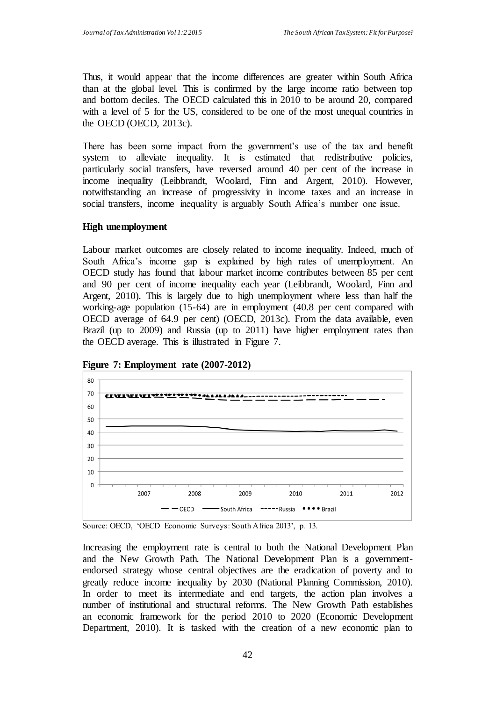Thus, it would appear that the income differences are greater within South Africa than at the global level. This is confirmed by the large income ratio between top and bottom deciles. The OECD calculated this in 2010 to be around 20, compared with a level of 5 for the US, considered to be one of the most unequal countries in the OECD (OECD, 2013c).

There has been some impact from the government's use of the tax and benefit system to alleviate inequality. It is estimated that redistributive policies, particularly social transfers, have reversed around 40 per cent of the increase in income inequality (Leibbrandt, Woolard, Finn and Argent, 2010). However, notwithstanding an increase of progressivity in income taxes and an increase in social transfers, income inequality is arguably South Africa's number one issue.

#### **High unemployment**

Labour market outcomes are closely related to income inequality. Indeed, much of South Africa's income gap is explained by high rates of unemployment. An OECD study has found that labour market income contributes between 85 per cent and 90 per cent of income inequality each year (Leibbrandt, Woolard, Finn and Argent, 2010). This is largely due to high unemployment where less than half the working-age population (15-64) are in employment (40.8 per cent compared with OECD average of 64.9 per cent) (OECD, 2013c). From the data available, even Brazil (up to 2009) and Russia (up to 2011) have higher employment rates than the OECD average. This is illustrated in Figure 7.



**Figure 7: Employment rate (2007-2012)**

Increasing the employment rate is central to both the National Development Plan and the New Growth Path. The National Development Plan is a governmentendorsed strategy whose central objectives are the eradication of poverty and to greatly reduce income inequality by 2030 (National Planning Commission, 2010). In order to meet its intermediate and end targets, the action plan involves a number of institutional and structural reforms. The New Growth Path establishes an economic framework for the period 2010 to 2020 (Economic Development Department, 2010). It is tasked with the creation of a new economic plan to

Source: OECD, 'OECD Economic Surveys: South Africa 2013', p. 13.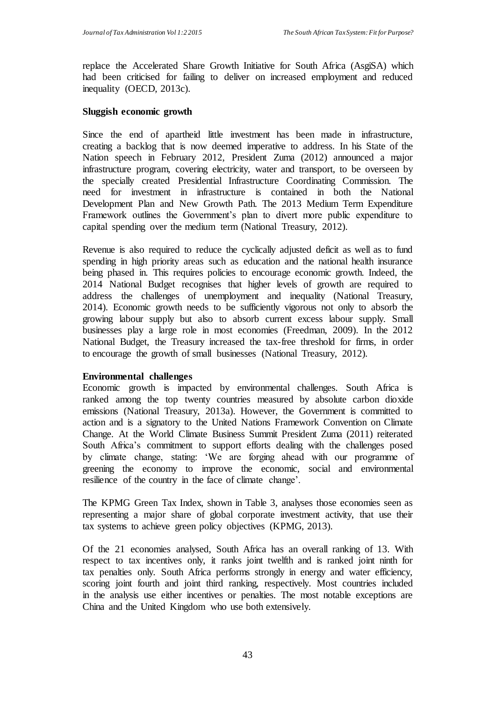replace the Accelerated Share Growth Initiative for South Africa (AsgiSA) which had been criticised for failing to deliver on increased employment and reduced inequality (OECD, 2013c).

### **Sluggish economic growth**

Since the end of apartheid little investment has been made in infrastructure, creating a backlog that is now deemed imperative to address. In his State of the Nation speech in February 2012, President Zuma (2012) announced a major infrastructure program, covering electricity, water and transport, to be overseen by the specially created Presidential Infrastructure Coordinating Commission. The need for investment in infrastructure is contained in both the National Development Plan and New Growth Path. The 2013 Medium Term Expenditure Framework outlines the Government's plan to divert more public expenditure to capital spending over the medium term (National Treasury, 2012).

Revenue is also required to reduce the cyclically adjusted deficit as well as to fund spending in high priority areas such as education and the national health insurance being phased in. This requires policies to encourage economic growth. Indeed, the 2014 National Budget recognises that higher levels of growth are required to address the challenges of unemployment and inequality (National Treasury, 2014). Economic growth needs to be sufficiently vigorous not only to absorb the growing labour supply but also to absorb current excess labour supply. Small businesses play a large role in most economies (Freedman, 2009). In the 2012 National Budget, the Treasury increased the tax-free threshold for firms, in order to encourage the growth of small businesses (National Treasury, 2012).

### **Environmental challenges**

Economic growth is impacted by environmental challenges. South Africa is ranked among the top twenty countries measured by absolute carbon dioxide emissions (National Treasury, 2013a). However, the Government is committed to action and is a signatory to the United Nations Framework Convention on Climate Change. At the World Climate Business Summit President Zuma (2011) reiterated South Africa's commitment to support efforts dealing with the challenges posed by climate change, stating: 'We are forging ahead with our programme of greening the economy to improve the economic, social and environmental resilience of the country in the face of climate change'.

The KPMG Green Tax Index, shown in Table 3, analyses those economies seen as representing a major share of global corporate investment activity, that use their tax systems to achieve green policy objectives (KPMG, 2013).

Of the 21 economies analysed, South Africa has an overall ranking of 13. With respect to tax incentives only, it ranks joint twelfth and is ranked joint ninth for tax penalties only. South Africa performs strongly in energy and water efficiency, scoring joint fourth and joint third ranking, respectively. Most countries included in the analysis use either incentives or penalties. The most notable exceptions are China and the United Kingdom who use both extensively.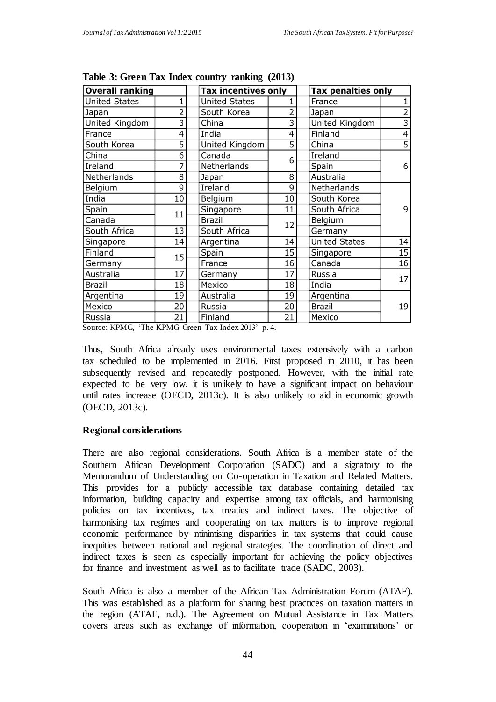| <b>Overall ranking</b> |    | <b>Tax incentives only</b> |                | Tax penalties only   |                           |  |  |
|------------------------|----|----------------------------|----------------|----------------------|---------------------------|--|--|
| <b>United States</b>   | 1  | <b>United States</b>       |                | France               | 1                         |  |  |
| Japan                  | 2  | South Korea                | $\overline{2}$ | Japan                | $\overline{2}$            |  |  |
| United Kingdom         | 3  | China                      | 3              | United Kingdom       | $\overline{\overline{3}}$ |  |  |
| France                 | 4  | India                      | 4              | Finland              | 4                         |  |  |
| South Korea            | 5  | United Kingdom             | 5              | China                | 5                         |  |  |
| China                  | 6  | Canada                     | 6              | Ireland              | 6                         |  |  |
| Ireland                | 7  | Netherlands                |                | Spain                |                           |  |  |
| Netherlands            | 8  | Japan                      | 8              | Australia            |                           |  |  |
| Belgium                | 9  | Ireland                    | 9              | Netherlands          |                           |  |  |
| India                  | 10 | Belgium                    | 10             | South Korea          |                           |  |  |
| Spain                  | 11 | Singapore                  | 11             | South Africa         | 9                         |  |  |
| Canada                 |    | <b>Brazil</b>              | 12             | Belgium              |                           |  |  |
| South Africa           | 13 | South Africa               |                | Germany              |                           |  |  |
| Singapore              | 14 | Argentina                  | 14             | <b>United States</b> | 14                        |  |  |
| Finland                | 15 | Spain                      | 15             | Singapore            | 15                        |  |  |
| Germany                |    | France                     | 16             | Canada               | 16                        |  |  |
| 17<br>Australia        |    | Germany                    | 17             | Russia               | 17                        |  |  |
| <b>Brazil</b><br>18    |    | Mexico                     | 18             | India                |                           |  |  |
| Argentina<br>19        |    | Australia                  | 19             | Argentina            |                           |  |  |
| Mexico                 | 20 | Russia                     | 20             | <b>Brazil</b>        | 19                        |  |  |
| Russia                 | 21 | Finland                    | 21             | Mexico               |                           |  |  |

**Table 3: Green Tax Index country ranking (2013)**

Source: KPMG, 'The KPMG Green Tax Index 2013' p. 4*.*

Thus, South Africa already uses environmental taxes extensively with a carbon tax scheduled to be implemented in 2016. First proposed in 2010, it has been subsequently revised and repeatedly postponed. However, with the initial rate expected to be very low, it is unlikely to have a significant impact on behaviour until rates increase (OECD, 2013c). It is also unlikely to aid in economic growth (OECD, 2013c).

### **Regional considerations**

There are also regional considerations. South Africa is a member state of the Southern African Development Corporation (SADC) and a signatory to the Memorandum of Understanding on Co-operation in Taxation and Related Matters. This provides for a publicly accessible tax database containing detailed tax information, building capacity and expertise among tax officials, and harmonising policies on tax incentives, tax treaties and indirect taxes. The objective of harmonising tax regimes and cooperating on tax matters is to improve regional economic performance by minimising disparities in tax systems that could cause inequities between national and regional strategies. The coordination of direct and indirect taxes is seen as especially important for achieving the policy objectives for finance and investment as well as to facilitate trade (SADC, 2003).

South Africa is also a member of the African Tax Administration Forum (ATAF). This was established as a platform for sharing best practices on taxation matters in the region (ATAF, n.d.). The Agreement on Mutual Assistance in Tax Matters covers areas such as exchange of information, cooperation in 'examinations' or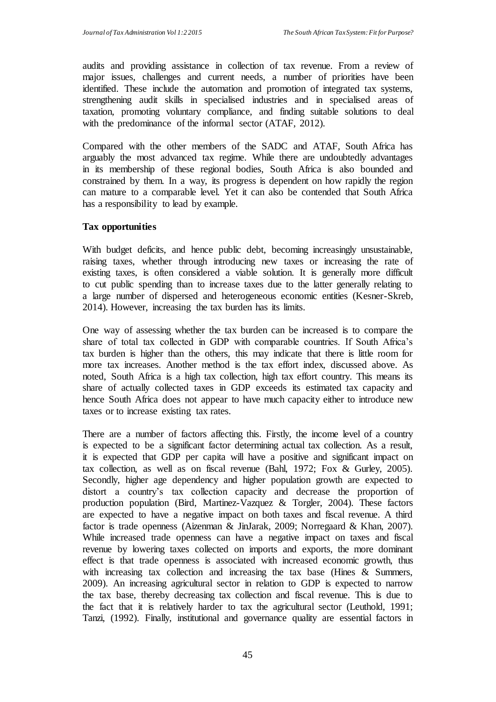audits and providing assistance in collection of tax revenue. From a review of major issues, challenges and current needs, a number of priorities have been identified. These include the automation and promotion of integrated tax systems, strengthening audit skills in specialised industries and in specialised areas of taxation, promoting voluntary compliance, and finding suitable solutions to deal with the predominance of the informal sector (ATAF, 2012).

Compared with the other members of the SADC and ATAF, South Africa has arguably the most advanced tax regime. While there are undoubtedly advantages in its membership of these regional bodies, South Africa is also bounded and constrained by them. In a way, its progress is dependent on how rapidly the region can mature to a comparable level. Yet it can also be contended that South Africa has a responsibility to lead by example.

### **Tax opportunities**

With budget deficits, and hence public debt, becoming increasingly unsustainable, raising taxes, whether through introducing new taxes or increasing the rate of existing taxes, is often considered a viable solution. It is generally more difficult to cut public spending than to increase taxes due to the latter generally relating to a large number of dispersed and heterogeneous economic entities (Kesner-Skreb, 2014). However, increasing the tax burden has its limits.

One way of assessing whether the tax burden can be increased is to compare the share of total tax collected in GDP with comparable countries. If South Africa's tax burden is higher than the others, this may indicate that there is little room for more tax increases. Another method is the tax effort index, discussed above. As noted, South Africa is a high tax collection, high tax effort country. This means its share of actually collected taxes in GDP exceeds its estimated tax capacity and hence South Africa does not appear to have much capacity either to introduce new taxes or to increase existing tax rates.

There are a number of factors affecting this. Firstly, the income level of a country is expected to be a significant factor determining actual tax collection. As a result, it is expected that GDP per capita will have a positive and significant impact on tax collection, as well as on fiscal revenue (Bahl, 1972; Fox & Gurley, 2005). Secondly, higher age dependency and higher population growth are expected to distort a country's tax collection capacity and decrease the proportion of production population (Bird, Martinez-Vazquez & Torgler, 2004). These factors are expected to have a negative impact on both taxes and fiscal revenue. A third factor is trade openness (Aizenman & JinJarak, 2009; Norregaard & Khan, 2007). While increased trade openness can have a negative impact on taxes and fiscal revenue by lowering taxes collected on imports and exports, the more dominant effect is that trade openness is associated with increased economic growth, thus with increasing tax collection and increasing the tax base (Hines & Summers, 2009). An increasing agricultural sector in relation to GDP is expected to narrow the tax base, thereby decreasing tax collection and fiscal revenue. This is due to the fact that it is relatively harder to tax the agricultural sector (Leuthold, 1991; Tanzi, (1992). Finally, institutional and governance quality are essential factors in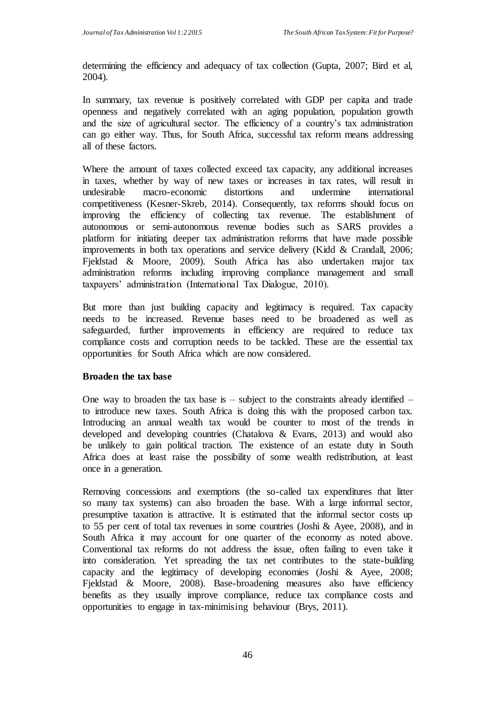determining the efficiency and adequacy of tax collection (Gupta, 2007; Bird et al, 2004).

In summary, tax revenue is positively correlated with GDP per capita and trade openness and negatively correlated with an aging population, population growth and the size of agricultural sector. The efficiency of a country's tax administration can go either way. Thus, for South Africa, successful tax reform means addressing all of these factors.

Where the amount of taxes collected exceed tax capacity, any additional increases in taxes, whether by way of new taxes or increases in tax rates, will result in undesirable macro-economic distortions and undermine international competitiveness (Kesner-Skreb, 2014). Consequently, tax reforms should focus on improving the efficiency of collecting tax revenue. The establishment of autonomous or semi-autonomous revenue bodies such as SARS provides a platform for initiating deeper tax administration reforms that have made possible improvements in both tax operations and service delivery (Kidd & Crandall, 2006; Fieldstad & Moore, 2009). South Africa has also undertaken major tax administration reforms including improving compliance management and small taxpayers' administration (International Tax Dialogue, 2010).

But more than just building capacity and legitimacy is required. Tax capacity needs to be increased. Revenue bases need to be broadened as well as safeguarded, further improvements in efficiency are required to reduce tax compliance costs and corruption needs to be tackled. These are the essential tax opportunities for South Africa which are now considered.

### **Broaden the tax base**

One way to broaden the tax base is  $-$  subject to the constraints already identified  $$ to introduce new taxes. South Africa is doing this with the proposed carbon tax. Introducing an annual wealth tax would be counter to most of the trends in developed and developing countries (Chatalova  $\&$  Evans, 2013) and would also be unlikely to gain political traction. The existence of an estate duty in South Africa does at least raise the possibility of some wealth redistribution, at least once in a generation.

Removing concessions and exemptions (the so-called tax expenditures that litter so many tax systems) can also broaden the base. With a large informal sector, presumptive taxation is attractive. It is estimated that the informal sector costs up to 55 per cent of total tax revenues in some countries (Joshi & Ayee, 2008), and in South Africa it may account for one quarter of the economy as noted above. Conventional tax reforms do not address the issue, often failing to even take it into consideration. Yet spreading the tax net contributes to the state-building capacity and the legitimacy of developing economies (Joshi & Ayee, 2008; Fjeldstad & Moore, 2008). Base-broadening measures also have efficiency benefits as they usually improve compliance, reduce tax compliance costs and opportunities to engage in tax-minimising behaviour (Brys, 2011).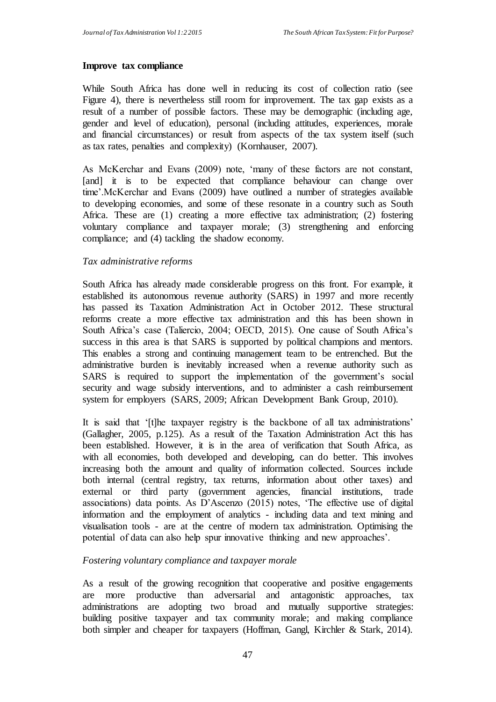#### **Improve tax compliance**

While South Africa has done well in reducing its cost of collection ratio (see Figure 4), there is nevertheless still room for improvement. The tax gap exists as a result of a number of possible factors. These may be demographic (including age, gender and level of education), personal (including attitudes, experiences, morale and financial circumstances) or result from aspects of the tax system itself (such as tax rates, penalties and complexity) (Kornhauser, 2007).

As McKerchar and Evans (2009) note, 'many of these factors are not constant, [and] it is to be expected that compliance behaviour can change over time'.McKerchar and Evans (2009) have outlined a number of strategies available to developing economies, and some of these resonate in a country such as South Africa. These are (1) creating a more effective tax administration; (2) fostering voluntary compliance and taxpayer morale; (3) strengthening and enforcing compliance; and (4) tackling the shadow economy.

### *Tax administrative reforms*

South Africa has already made considerable progress on this front. For example, it established its autonomous revenue authority (SARS) in 1997 and more recently has passed its Taxation Administration Act in October 2012. These structural reforms create a more effective tax administration and this has been shown in South Africa's case (Taliercio, 2004; OECD, 2015). One cause of South Africa's success in this area is that SARS is supported by political champions and mentors. This enables a strong and continuing management team to be entrenched. But the administrative burden is inevitably increased when a revenue authority such as SARS is required to support the implementation of the government's social security and wage subsidy interventions, and to administer a cash reimbursement system for employers (SARS, 2009; African Development Bank Group, 2010).

It is said that '[t]he taxpayer registry is the backbone of all tax administrations' (Gallagher, 2005, p.125). As a result of the Taxation Administration Act this has been established. However, it is in the area of verification that South Africa, as with all economies, both developed and developing, can do better. This involves increasing both the amount and quality of information collected. Sources include both internal (central registry, tax returns, information about other taxes) and external or third party (government agencies, financial institutions, trade associations) data points. As D'Ascenzo (2015) notes, 'The effective use of digital information and the employment of analytics - including data and text mining and visualisation tools - are at the centre of modern tax administration. Optimising the potential of data can also help spur innovative thinking and new approaches'.

### *Fostering voluntary compliance and taxpayer morale*

As a result of the growing recognition that cooperative and positive engagements are more productive than adversarial and antagonistic approaches, tax administrations are adopting two broad and mutually supportive strategies: building positive taxpayer and tax community morale; and making compliance both simpler and cheaper for taxpayers (Hoffman, Gangl, Kirchler & Stark, 2014).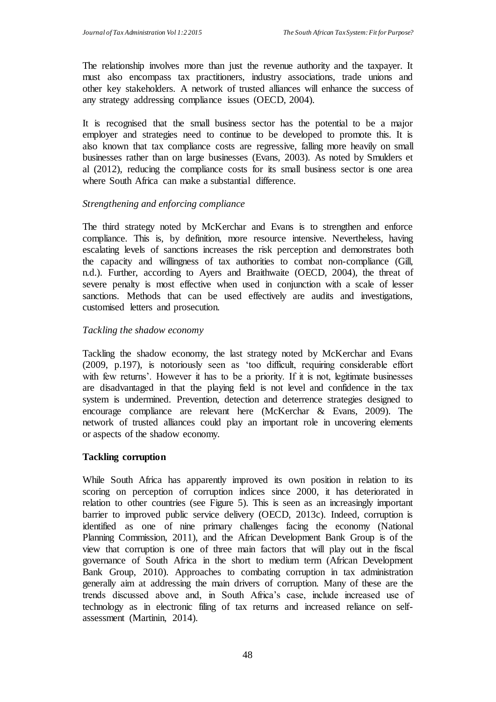The relationship involves more than just the revenue authority and the taxpayer. It must also encompass tax practitioners, industry associations, trade unions and other key stakeholders. A network of trusted alliances will enhance the success of any strategy addressing compliance issues (OECD, 2004).

It is recognised that the small business sector has the potential to be a major employer and strategies need to continue to be developed to promote this. It is also known that tax compliance costs are regressive, falling more heavily on small businesses rather than on large businesses (Evans, 2003). As noted by Smulders et al (2012), reducing the compliance costs for its small business sector is one area where South Africa can make a substantial difference.

### *Strengthening and enforcing compliance*

The third strategy noted by McKerchar and Evans is to strengthen and enforce compliance. This is, by definition, more resource intensive. Nevertheless, having escalating levels of sanctions increases the risk perception and demonstrates both the capacity and willingness of tax authorities to combat non-compliance (Gill, n.d.). Further, according to Ayers and Braithwaite (OECD, 2004), the threat of severe penalty is most effective when used in conjunction with a scale of lesser sanctions. Methods that can be used effectively are audits and investigations, customised letters and prosecution.

### *Tackling the shadow economy*

Tackling the shadow economy, the last strategy noted by McKerchar and Evans (2009, p.197), is notoriously seen as 'too difficult, requiring considerable effort with few returns'. However it has to be a priority. If it is not, legitimate businesses are disadvantaged in that the playing field is not level and confidence in the tax system is undermined. Prevention, detection and deterrence strategies designed to encourage compliance are relevant here (McKerchar & Evans, 2009). The network of trusted alliances could play an important role in uncovering elements or aspects of the shadow economy.

### **Tackling corruption**

While South Africa has apparently improved its own position in relation to its scoring on perception of corruption indices since 2000, it has deteriorated in relation to other countries (see Figure 5). This is seen as an increasingly important barrier to improved public service delivery (OECD, 2013c). Indeed, corruption is identified as one of nine primary challenges facing the economy (National Planning Commission, 2011), and the African Development Bank Group is of the view that corruption is one of three main factors that will play out in the fiscal governance of South Africa in the short to medium term (African Development Bank Group, 2010). Approaches to combating corruption in tax administration generally aim at addressing the main drivers of corruption. Many of these are the trends discussed above and, in South Africa's case, include increased use of technology as in electronic filing of tax returns and increased reliance on selfassessment (Martinin, 2014).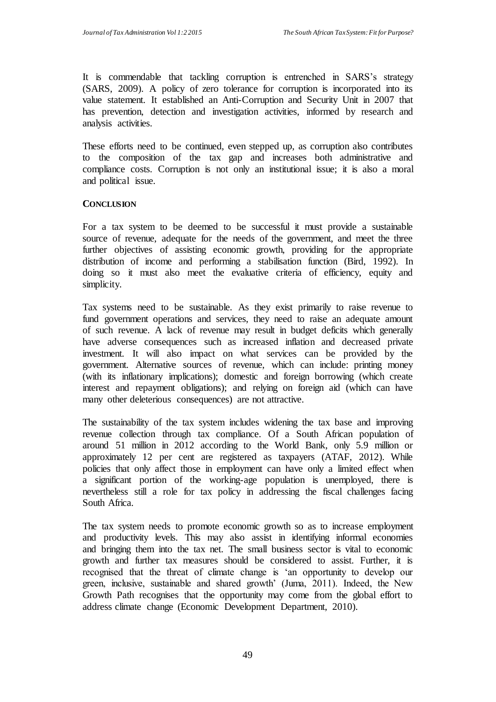It is commendable that tackling corruption is entrenched in SARS's strategy (SARS, 2009). A policy of zero tolerance for corruption is incorporated into its value statement. It established an Anti-Corruption and Security Unit in 2007 that has prevention, detection and investigation activities, informed by research and analysis activities.

These efforts need to be continued, even stepped up, as corruption also contributes to the composition of the tax gap and increases both administrative and compliance costs. Corruption is not only an institutional issue; it is also a moral and political issue.

### **CONCLUSION**

For a tax system to be deemed to be successful it must provide a sustainable source of revenue, adequate for the needs of the government, and meet the three further objectives of assisting economic growth, providing for the appropriate distribution of income and performing a stabilisation function (Bird, 1992). In doing so it must also meet the evaluative criteria of efficiency, equity and simplicity.

Tax systems need to be sustainable. As they exist primarily to raise revenue to fund government operations and services, they need to raise an adequate amount of such revenue. A lack of revenue may result in budget deficits which generally have adverse consequences such as increased inflation and decreased private investment. It will also impact on what services can be provided by the government. Alternative sources of revenue, which can include: printing money (with its inflationary implications); domestic and foreign borrowing (which create interest and repayment obligations); and relying on foreign aid (which can have many other deleterious consequences) are not attractive.

The sustainability of the tax system includes widening the tax base and improving revenue collection through tax compliance. Of a South African population of around 51 million in 2012 according to the World Bank, only 5.9 million or approximately 12 per cent are registered as taxpayers (ATAF, 2012). While policies that only affect those in employment can have only a limited effect when a significant portion of the working-age population is unemployed, there is nevertheless still a role for tax policy in addressing the fiscal challenges facing South Africa.

The tax system needs to promote economic growth so as to increase employment and productivity levels. This may also assist in identifying informal economies and bringing them into the tax net. The small business sector is vital to economic growth and further tax measures should be considered to assist. Further, it is recognised that the threat of climate change is 'an opportunity to develop our green, inclusive, sustainable and shared growth' (Juma, 2011). Indeed, the New Growth Path recognises that the opportunity may come from the global effort to address climate change (Economic Development Department, 2010).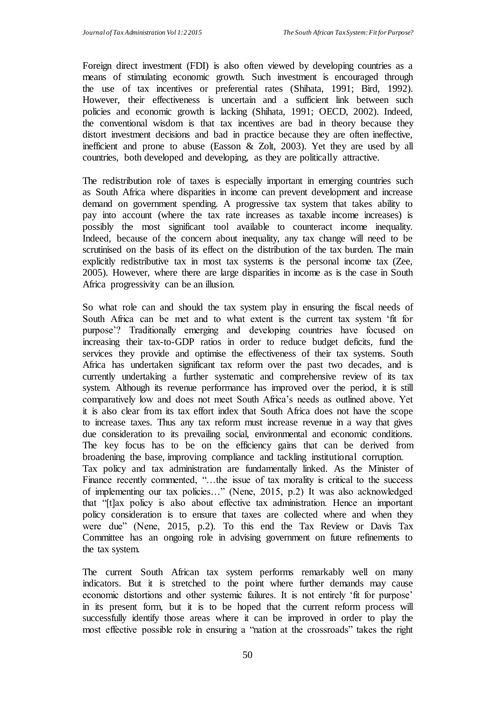Foreign direct investment (FDI) is also often viewed by developing countries as a means of stimulating economic growth. Such investment is encouraged through the use of tax incentives or preferential rates (Shihata, 1991; Bird, 1992). However, their effectiveness is uncertain and a sufficient link between such policies and economic growth is lacking (Shihata, 1991; OECD, 2002). Indeed, the conventional wisdom is that tax incentives are bad in theory because they distort investment decisions and bad in practice because they are often ineffective, inefficient and prone to abuse (Easson & Zolt, 2003). Yet they are used by all countries, both developed and developing, as they are politically attractive.

The redistribution role of taxes is especially important in emerging countries such as South Africa where disparities in income can prevent development and increase demand on government spending. A progressive tax system that takes ability to pay into account (where the tax rate increases as taxable income increases) is possibly the most significant tool available to counteract income inequality. Indeed, because of the concern about inequality, any tax change will need to be scrutinised on the basis of its effect on the distribution of the tax burden. The main explicitly redistributive tax in most tax systems is the personal income tax (Zee, 2005). However, where there are large disparities in income as is the case in South Africa progressivity can be an illusion.

So what role can and should the tax system play in ensuring the fiscal needs of South Africa can be met and to what extent is the current tax system 'fit for purpose'? Traditionally emerging and developing countries have focused on increasing their tax-to-GDP ratios in order to reduce budget deficits, fund the services they provide and optimise the effectiveness of their tax systems. South Africa has undertaken significant tax reform over the past two decades, and is currently undertaking a further systematic and comprehensive review of its tax system. Although its revenue performance has improved over the period, it is still comparatively low and does not meet South Africa's needs as outlined above. Yet it is also clear from its tax effort index that South Africa does not have the scope to increase taxes. Thus any tax reform must increase revenue in a way that gives due consideration to its prevailing social, environmental and economic conditions. The key focus has to be on the efficiency gains that can be derived from broadening the base, improving compliance and tackling institutional corruption. Tax policy and tax administration are fundamentally linked. As the Minister of Finance recently commented, "...the issue of tax morality is critical to the success of implementing our tax policies…" (Nene, 2015, p.2) It was also acknowledged that "[t]ax policy is also about effective tax administration. Hence an important policy consideration is to ensure that taxes are collected where and when they were due" (Nene, 2015, p.2). To this end the Tax Review or Davis Tax Committee has an ongoing role in advising government on future refinements to the tax system.

The current South African tax system performs remarkably well on many indicators. But it is stretched to the point where further demands may cause economic distortions and other systemic failures. It is not entirely 'fit for purpose' in its present form, but it is to be hoped that the current reform process will successfully identify those areas where it can be improved in order to play the most effective possible role in ensuring a "nation at the crossroads" takes the right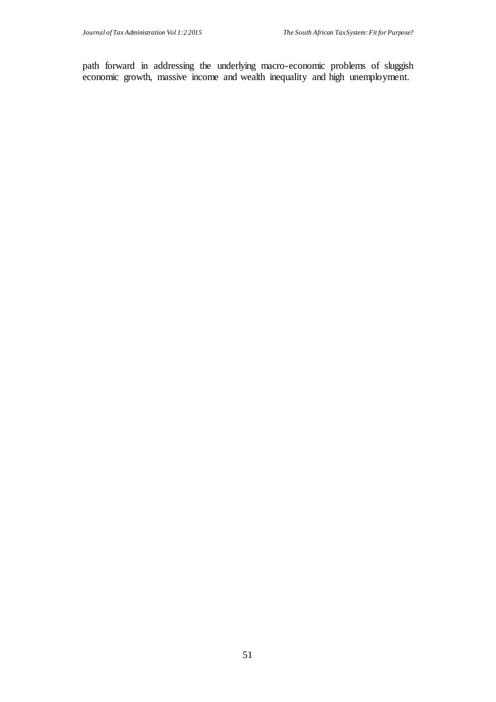path forward in addressing the underlying macro-economic problems of sluggish economic growth, massive income and wealth inequality and high unemployment.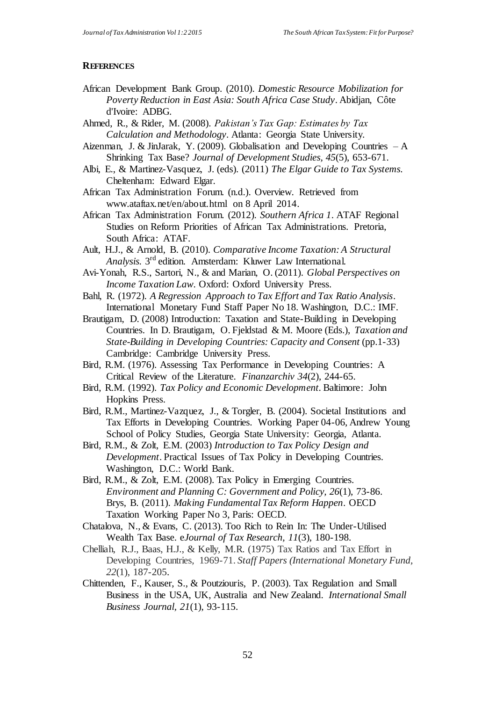#### **REFERENCES**

- African Development Bank Group. (2010). *Domestic Resource Mobilization for Poverty Reduction in East Asia: South Africa Case Study*. Abidjan, Côte d'Ivoire: ADBG.
- Ahmed, R., & Rider, M. (2008). *Pakistan's Tax Gap: Estimates by Tax Calculation and Methodology*. Atlanta: Georgia State University.
- Aizenman, J. & JinJarak, Y. (2009). Globalisation and Developing Countries  $-A$ Shrinking Tax Base? *Journal of Development Studies, 45*(5), 653-671.
- Albi, E., & Martinez-Vasquez, J. (eds). (2011) *The Elgar Guide to Tax Systems.* Cheltenham: Edward Elgar.
- African Tax Administration Forum. (n.d.). Overview. Retrieved from [www.ataftax.net/en/about.html on 8 April 2014.](http://www.ataftax.net/en/about.html%20on%208%20April%202014)
- African Tax Administration Forum. (2012). *Southern Africa 1*. ATAF Regional Studies on Reform Priorities of African Tax Administrations. Pretoria, South Africa: ATAF.
- Ault, H.J., & Arnold, B. (2010). *Comparative Income Taxation: A Structural Analysis.* 3 rd edition. Amsterdam: Kluwer Law International.
- Avi-Yonah, R.S., Sartori, N., & and Marian, O. (2011). *Global Perspectives on Income Taxation Law.* Oxford: Oxford University Press.
- Bahl, R. (1972). *A Regression Approach to Tax Effort and Tax Ratio Analysis*. International Monetary Fund Staff Paper No 18. Washington, D.C.: IMF.
- Brautigam, D. (2008) Introduction: Taxation and State-Building in Developing Countries. In D. Brautigam, O. Fjeldstad & M. Moore (Eds.), *Taxation and State-Building in Developing Countries: Capacity and Consent* (pp.1-33) Cambridge: Cambridge University Press.
- Bird, R.M. (1976). Assessing Tax Performance in Developing Countries: A Critical Review of the Literature. *Finanzarchiv 34*(2), 244-65.
- Bird, R.M. (1992). *Tax Policy and Economic Development.* Baltimore: John Hopkins Press.
- Bird, R.M., Martinez-Vazquez, J., & Torgler, B. (2004). Societal Institutions and Tax Efforts in Developing Countries. Working Paper 04-06, Andrew Young School of Policy Studies, Georgia State University: Georgia, Atlanta.
- Bird, R.M., & Zolt, E.M. (2003) *Introduction to Tax Policy Design and Development*. Practical Issues of Tax Policy in Developing Countries. Washington, D.C.: World Bank.
- Bird, R.M., & Zolt, E.M. (2008). Tax Policy in Emerging Countries. *Environment and Planning C: Government and Policy, 26*(1), 73-86. Brys, B. (2011). *Making Fundamental Tax Reform Happen*. OECD Taxation Working Paper No 3, Paris: OECD.
- Chatalova, N., & Evans, C. (2013). Too Rich to Rein In: The Under-Utilised Wealth Tax Base. e*Journal of Tax Research, 11*(3), 180-198.
- Chelliah, R.J., Baas, H.J., & Kelly, M.R. (1975) Tax Ratios and Tax Effort in Developing Countries, 1969-71. *Staff Papers (International Monetary Fund, 22*(1), 187-205.
- Chittenden, F., Kauser, S., & Poutziouris, P. (2003). Tax Regulation and Small Business in the USA, UK, Australia and New Zealand. *International Small Business Journal, 21*(1), 93-115.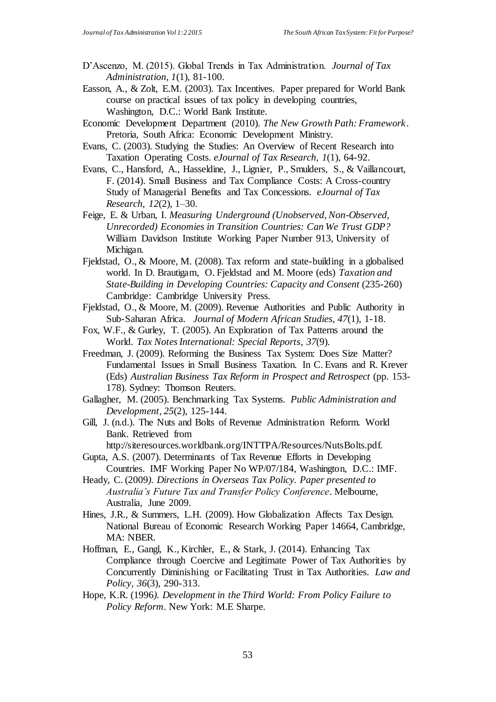- D'Ascenzo, M. (2015). Global Trends in Tax Administration. *Journal of Tax Administration, 1*(1), 81-100.
- Easson, A., & Zolt, E.M. (2003). Tax Incentives. Paper prepared for World Bank course on practical issues of tax policy in developing countries, Washington, D.C.: World Bank Institute.
- Economic Development Department (2010). *The New Growth Path: Framework*. Pretoria, South Africa: Economic Development Ministry.
- Evans, C. (2003). Studying the Studies: An Overview of Recent Research into Taxation Operating Costs. *eJournal of Tax Research, 1*(1), 64-92.
- Evans, C., Hansford, A., Hasseldine, J., Lignier, P., Smulders, S., & Vaillancourt, F. (2014). Small Business and Tax Compliance Costs: A Cross-country Study of Managerial Benefits and Tax Concessions. *eJournal of Tax Research, 12*(2), 1–30.
- Feige, E. & Urban, I. *Measuring Underground (Unobserved, Non-Observed, Unrecorded) Economies in Transition Countries: Can We Trust GDP?* William Davidson Institute Working Paper Number 913, University of Michigan.
- Fieldstad, O., & Moore, M. (2008). Tax reform and state-building in a globalised world. In D. Brautigam, O. Fjeldstad and M. Moore (eds) *Taxation and State-Building in Developing Countries: Capacity and Consent* (235-260) Cambridge: Cambridge University Press.
- Fjeldstad, O., & Moore, M. (2009). Revenue Authorities and Public Authority in Sub-Saharan Africa. *Journal of Modern African Studies, 47*(1), 1-18.
- Fox, W.F., & Gurley, T. (2005). An Exploration of Tax Patterns around the World. *Tax Notes International: Special Reports*, *37*(9).
- Freedman, J. (2009). Reforming the Business Tax System: Does Size Matter? Fundamental Issues in Small Business Taxation. In C. Evans and R. Krever (Eds) *Australian Business Tax Reform in Prospect and Retrospect* (pp. 153- 178). Sydney: Thomson Reuters.
- Gallagher, M. (2005). Benchmarking Tax Systems. *Public Administration and Development, 25*(2), 125-144.
- Gill, J. (n.d.). The Nuts and Bolts of Revenue Administration Reform. World Bank. Retrieved from

http://siteresources.worldbank.org/INTTPA/Resources/NutsBolts.pdf. Gupta, A.S. (2007). Determinants of Tax Revenue Efforts in Developing

- Countries. IMF Working Paper No WP/07/184, Washington, D.C.: IMF.
- Heady, C. (2009*). Directions in Overseas Tax Policy. Paper presented to Australia's Future Tax and Transfer Policy Conference*. Melbourne, Australia, June 2009.
- Hines, J.R., & Summers, L.H. (2009). How Globalization Affects Tax Design. National Bureau of Economic Research Working Paper 14664, Cambridge, MA: NBER.
- Hoffman, E., Gangl, K., Kirchler, E., & Stark, J. (2014). Enhancing Tax Compliance through Coercive and Legitimate Power of Tax Authorities by Concurrently Diminishing or Facilitating Trust in Tax Authorities. *Law and Policy, 36*(3), 290-313.
- Hope, K.R. (1996*). Development in the Third World: From Policy Failure to Policy Reform*. New York: M.E Sharpe.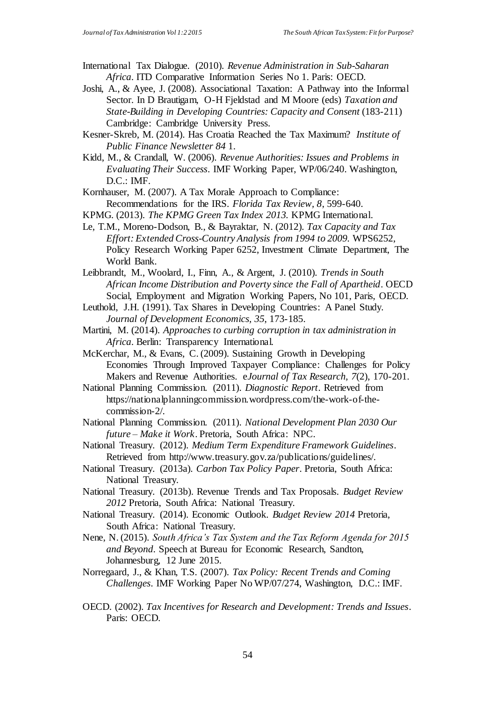International Tax Dialogue. (2010). *Revenue Administration in Sub-Saharan Africa*. ITD Comparative Information Series No 1. Paris: OECD.

- Joshi, A., & Ayee, J. (2008). Associational Taxation: A Pathway into the Informal Sector. In D Brautigam, O-H Fjeldstad and M Moore (eds) *Taxation and State-Building in Developing Countries: Capacity and Consent* (183-211) Cambridge: Cambridge University Press.
- Kesner-Skreb, M. (2014). Has Croatia Reached the Tax Maximum? *Institute of Public Finance Newsletter 84* 1.
- Kidd, M., & Crandall, W. (2006). *Revenue Authorities: Issues and Problems in Evaluating Their Success*. IMF Working Paper, WP/06/240. Washington, D.C.: IMF.
- Kornhauser, M. (2007). A Tax Morale Approach to Compliance: Recommendations for the IRS. *Florida Tax Review, 8*, 599-640.
- KPMG. (2013). *The KPMG Green Tax Index 2013.* KPMG International.
- Le, T.M., Moreno-Dodson, B., & Bayraktar, N. (2012). *Tax Capacity and Tax Effort: Extended Cross-Country Analysis from 1994 to 2009.* WPS6252, Policy Research Working Paper 6252, Investment Climate Department, The World Bank.
- Leibbrandt, M., Woolard, I., Finn, A., & Argent, J. (2010). *Trends in South African Income Distribution and Poverty since the Fall of Apartheid*. OECD Social, Employment and Migration Working Papers, No 101, Paris, OECD.
- Leuthold, J.H. (1991). Tax Shares in Developing Countries: A Panel Study. *Journal of Development Economics, 35*, 173-185.
- Martini, M. (2014). *Approaches to curbing corruption in tax administration in Africa*. Berlin: Transparency International.
- McKerchar, M., & Evans, C. (2009). Sustaining Growth in Developing Economies Through Improved Taxpayer Compliance: Challenges for Policy Makers and Revenue Authorities. e*Journal of Tax Research, 7*(2), 170-201.
- National Planning Commission. (2011). *Diagnostic Report*. Retrieved from https://nationalplanningcommission.wordpress.com/the-work-of-thecommission-2/.
- National Planning Commission. (2011). *National Development Plan 2030 Our future – Make it Work*. Pretoria, South Africa: NPC.
- National Treasury. (2012). *Medium Term Expenditure Framework Guidelines*. Retrieved from http://www.treasury.gov.za/publications/guidelines/.
- National Treasury. (2013a). *Carbon Tax Policy Paper*. Pretoria, South Africa: National Treasury.
- National Treasury. (2013b). Revenue Trends and Tax Proposals. *Budget Review 2012* Pretoria, South Africa: National Treasury.
- National Treasury. (2014). Economic Outlook. *Budget Review 2014* Pretoria, South Africa: National Treasury.
- Nene, N. (2015). *South Africa's Tax System and the Tax Reform Agenda for 2015 and Beyond*. Speech at Bureau for Economic Research, Sandton, Johannesburg, 12 June 2015.
- Norregaard, J., & Khan, T.S. (2007). *Tax Policy: Recent Trends and Coming Challenges*. IMF Working Paper No WP/07/274, Washington, D.C.: IMF.
- OECD. (2002). *Tax Incentives for Research and Development: Trends and Issues*. Paris: OECD.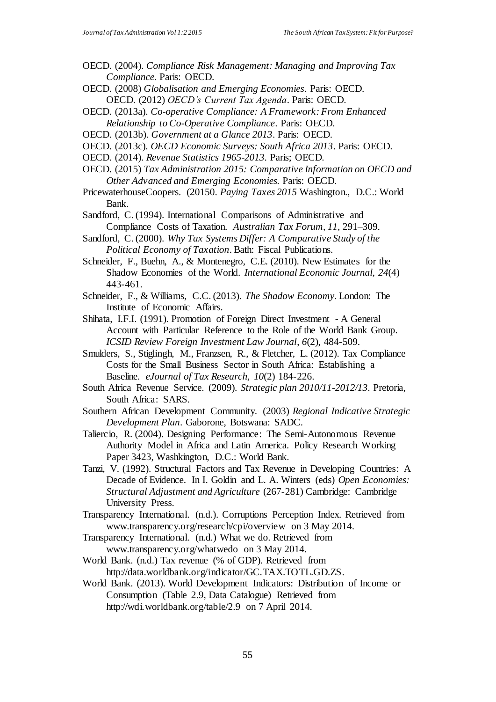- OECD. (2004). *Compliance Risk Management: Managing and Improving Tax Compliance*. Paris: OECD.
- OECD. (2008) *Globalisation and Emerging Economies*. Paris: OECD. OECD. (2012) *OECD's Current Tax Agenda*. Paris: OECD.
- OECD. (2013a). *Co-operative Compliance: A Framework: From Enhanced Relationship to Co-Operative Compliance*. Paris: OECD.
- OECD. (2013b). *Government at a Glance 2013*. Paris: OECD.
- OECD. (2013c). *OECD Economic Surveys: South Africa 2013*. Paris: OECD.
- OECD. (2014). *Revenue Statistics 1965-2013*. Paris; OECD.
- OECD. (2015) *Tax Administration 2015: Comparative Information on OECD and Other Advanced and Emerging Economies.* Paris: OECD.
- PricewaterhouseCoopers. (20150. *Paying Taxes 2015* Washington., D.C.: World Bank.
- Sandford, C. (1994). International Comparisons of Administrative and Compliance Costs of Taxation. *Australian Tax Forum, 11*, 291–309.
- Sandford, C. (2000). *Why Tax Systems Differ: A Comparative Study of the Political Economy of Taxation*. Bath: Fiscal Publications.
- Schneider, F., Buehn, A., & Montenegro, C.E. (2010). New Estimates for the Shadow Economies of the World. *International Economic Journal, 24*(4) 443-461.
- Schneider, F., & Williams, C.C. (2013). *The Shadow Economy*. London: The Institute of Economic Affairs.
- Shihata, I.F.I. (1991). Promotion of Foreign Direct Investment A General Account with Particular Reference to the Role of the World Bank Group. *ICSID Review Foreign Investment Law Journal*, *6*(2), 484-509.
- Smulders, S., Stiglingh, M., Franzsen, R., & Fletcher, L. (2012). Tax Compliance Costs for the Small Business Sector in South Africa: Establishing a Baseline. *eJournal of Tax Research, 10*(2) 184-226.
- South Africa Revenue Service. (2009). *Strategic plan 2010/11-2012/13*. Pretoria, South Africa: SARS.
- Southern African Development Community. (2003) *Regional Indicative Strategic Development Plan*. Gaborone, Botswana: SADC.
- Taliercio, R. (2004). Designing Performance: The Semi-Autonomous Revenue Authority Model in Africa and Latin America. Policy Research Working Paper 3423, Washkington, D.C.: World Bank.
- Tanzi, V. (1992). Structural Factors and Tax Revenue in Developing Countries: A Decade of Evidence. In I. Goldin and L. A. Winters (eds) *Open Economies: Structural Adjustment and Agriculture* (267-281) Cambridge: Cambridge University Press.
- Transparency International. (n.d.). Corruptions Perception Index. Retrieved from [www.transparency.org/research/cpi/overview](http://www.transparency.org/research/cpi/overview) on 3 May 2014.
- Transparency International. (n.d.) What we do. Retrieved from [www.transparency.org/whatwedo](http://www.transparency.org/whatwedo) on 3 May 2014.
- World Bank. (n.d.) Tax revenue (% of GDP). Retrieved from [http://data.worldbank.org/indicator/GC.TAX.TOTL.GD.ZS.](http://data.worldbank.org/indicator/GC.TAX.TOTL.GD.ZS)
- World Bank. (2013). World Development Indicators: Distribution of Income or Consumption (Table 2.9, Data Catalogue) Retrieved from http://wdi.worldbank.org/table/2.9 on 7 April 2014.